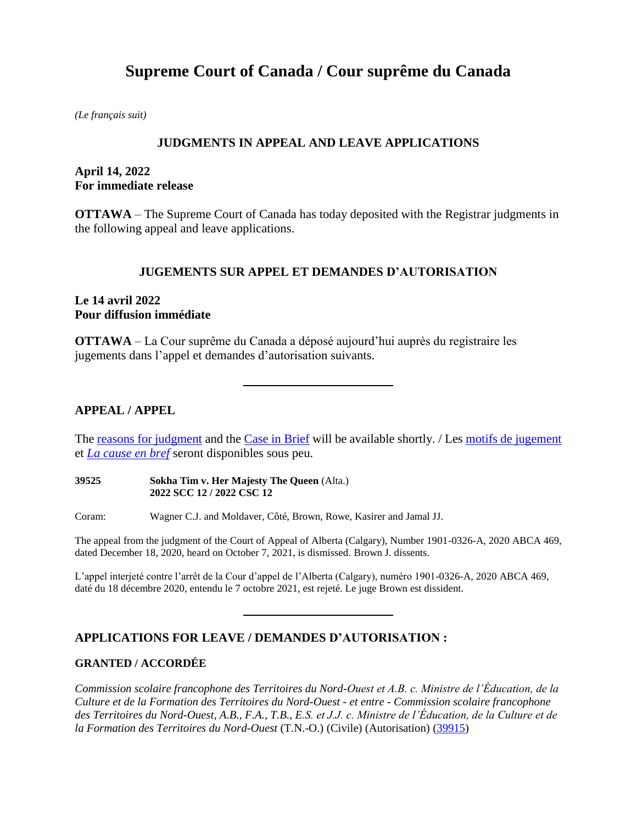# **Supreme Court of Canada / Cour suprême du Canada**

*(Le français suit)*

## **JUDGMENTS IN APPEAL AND LEAVE APPLICATIONS**

### **April 14, 2022 For immediate release**

**OTTAWA** – The Supreme Court of Canada has today deposited with the Registrar judgments in the following appeal and leave applications.

#### **JUGEMENTS SUR APPEL ET DEMANDES D'AUTORISATION**

#### **Le 14 avril 2022 Pour diffusion immédiate**

**OTTAWA** – La Cour suprême du Canada a déposé aujourd'hui auprès du registraire les jugements dans l'appel et demandes d'autorisation suivants.

### **APPEAL / APPEL**

The [reasons for judgment](https://decisions.scc-csc.ca/scc-csc/scc-csc/en/nav_date.do) and the [Case in Brief](https://www.scc-csc.ca/case-dossier/cb/index-eng.aspx) will be available shortly. / Le[s motifs de jugement](https://decisions.scc-csc.ca/scc-csc/scc-csc/fr/nav_date.do) et *[La cause en bref](https://www.scc-csc.ca/case-dossier/cb/index-fra.aspx)* seront disponibles sous peu.

**39525 Sokha Tim v. Her Majesty The Queen** (Alta.) **2022 SCC 12 / 2022 CSC 12**

Coram: Wagner C.J. and Moldaver, Côté, Brown, Rowe, Kasirer and Jamal JJ.

The appeal from the judgment of the Court of Appeal of Alberta (Calgary), Number 1901-0326-A, 2020 ABCA 469, dated December 18, 2020, heard on October 7, 2021, is dismissed. Brown J. dissents.

L'appel interjeté contre l'arrêt de la Cour d'appel de l'Alberta (Calgary), numéro 1901-0326-A, 2020 ABCA 469, daté du 18 décembre 2020, entendu le 7 octobre 2021, est rejeté. Le juge Brown est dissident.

# **APPLICATIONS FOR LEAVE / DEMANDES D'AUTORISATION :**

#### **GRANTED / ACCORDÉE**

*Commission scolaire francophone des Territoires du Nord-Ouest et A.B. c. Ministre de l'Éducation, de la Culture et de la Formation des Territoires du Nord-Ouest - et entre - Commission scolaire francophone des Territoires du Nord-Ouest, A.B., F.A., T.B., E.S. et J.J. c. Ministre de l'Éducation, de la Culture et de la Formation des Territoires du Nord-Ouest* (T.N.-O.) (Civile) (Autorisation) [\(39915\)](https://www.scc-csc.ca/case-dossier/info/sum-som-fra.aspx?cas=39915)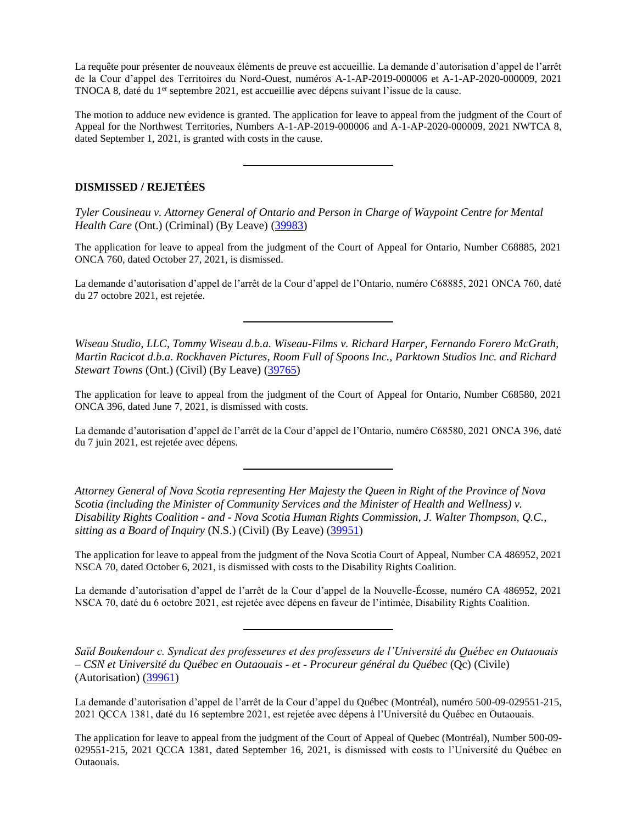La requête pour présenter de nouveaux éléments de preuve est accueillie. La demande d'autorisation d'appel de l'arrêt de la Cour d'appel des Territoires du Nord-Ouest, numéros A-1-AP-2019-000006 et A-1-AP-2020-000009, 2021 TNOCA 8, daté du 1<sup>er</sup> septembre 2021, est accueillie avec dépens suivant l'issue de la cause.

The motion to adduce new evidence is granted. The application for leave to appeal from the judgment of the Court of Appeal for the Northwest Territories, Numbers A-1-AP-2019-000006 and A-1-AP-2020-000009, 2021 NWTCA 8, dated September 1, 2021, is granted with costs in the cause.

#### **DISMISSED / REJETÉES**

*Tyler Cousineau v. Attorney General of Ontario and Person in Charge of Waypoint Centre for Mental Health Care* (Ont.) (Criminal) (By Leave) [\(39983\)](https://www.scc-csc.ca/case-dossier/info/sum-som-eng.aspx?cas=39983)

The application for leave to appeal from the judgment of the Court of Appeal for Ontario, Number C68885, 2021 ONCA 760, dated October 27, 2021, is dismissed.

La demande d'autorisation d'appel de l'arrêt de la Cour d'appel de l'Ontario, numéro C68885, 2021 ONCA 760, daté du 27 octobre 2021, est rejetée.

*Wiseau Studio, LLC, Tommy Wiseau d.b.a. Wiseau-Films v. Richard Harper, Fernando Forero McGrath, Martin Racicot d.b.a. Rockhaven Pictures, Room Full of Spoons Inc., Parktown Studios Inc. and Richard Stewart Towns* (Ont.) (Civil) (By Leave) [\(39765\)](https://www.scc-csc.ca/case-dossier/info/sum-som-eng.aspx?cas=39765)

The application for leave to appeal from the judgment of the Court of Appeal for Ontario, Number C68580, 2021 ONCA 396, dated June 7, 2021, is dismissed with costs.

La demande d'autorisation d'appel de l'arrêt de la Cour d'appel de l'Ontario, numéro C68580, 2021 ONCA 396, daté du 7 juin 2021, est rejetée avec dépens.

*Attorney General of Nova Scotia representing Her Majesty the Queen in Right of the Province of Nova Scotia (including the Minister of Community Services and the Minister of Health and Wellness) v. Disability Rights Coalition - and - Nova Scotia Human Rights Commission, J. Walter Thompson, Q.C., sitting as a Board of Inquiry* (N.S.) (Civil) (By Leave) [\(39951\)](https://www.scc-csc.ca/case-dossier/info/sum-som-eng.aspx?cas=39951)

The application for leave to appeal from the judgment of the Nova Scotia Court of Appeal, Number CA 486952, 2021 NSCA 70, dated October 6, 2021, is dismissed with costs to the Disability Rights Coalition.

La demande d'autorisation d'appel de l'arrêt de la Cour d'appel de la Nouvelle-Écosse, numéro CA 486952, 2021 NSCA 70, daté du 6 octobre 2021, est rejetée avec dépens en faveur de l'intimée, Disability Rights Coalition.

*Saïd Boukendour c. Syndicat des professeures et des professeurs de l'Université du Québec en Outaouais – CSN et Université du Québec en Outaouais - et - Procureur général du Québec* (Qc) (Civile) (Autorisation) [\(39961\)](https://www.scc-csc.ca/case-dossier/info/sum-som-fra.aspx?cas=39961)

La demande d'autorisation d'appel de l'arrêt de la Cour d'appel du Québec (Montréal), numéro 500-09-029551-215, 2021 QCCA 1381, daté du 16 septembre 2021, est rejetée avec dépens à l'Université du Québec en Outaouais.

The application for leave to appeal from the judgment of the Court of Appeal of Quebec (Montréal), Number 500-09- 029551-215, 2021 QCCA 1381, dated September 16, 2021, is dismissed with costs to l'Université du Québec en Outaouais.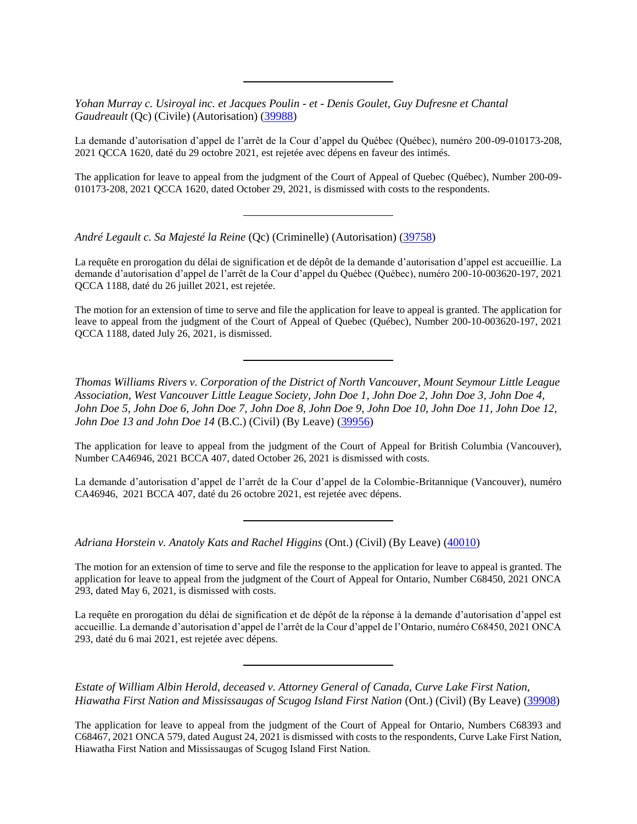*Yohan Murray c. Usiroyal inc. et Jacques Poulin - et - Denis Goulet, Guy Dufresne et Chantal Gaudreault* (Qc) (Civile) (Autorisation) [\(39988\)](https://www.scc-csc.ca/case-dossier/info/sum-som-fra.aspx?cas=39988)

La demande d'autorisation d'appel de l'arrêt de la Cour d'appel du Québec (Québec), numéro 200-09-010173-208, 2021 QCCA 1620, daté du 29 octobre 2021, est rejetée avec dépens en faveur des intimés.

The application for leave to appeal from the judgment of the Court of Appeal of Quebec (Québec), Number 200-09- 010173-208, 2021 QCCA 1620, dated October 29, 2021, is dismissed with costs to the respondents.

*André Legault c. Sa Majesté la Reine* (Qc) (Criminelle) (Autorisation) [\(39758\)](https://www.scc-csc.ca/case-dossier/info/sum-som-fra.aspx?cas=39758)

La requête en prorogation du délai de signification et de dépôt de la demande d'autorisation d'appel est accueillie. La demande d'autorisation d'appel de l'arrêt de la Cour d'appel du Québec (Québec), numéro 200-10-003620-197, 2021 QCCA 1188, daté du 26 juillet 2021, est rejetée.

The motion for an extension of time to serve and file the application for leave to appeal is granted. The application for leave to appeal from the judgment of the Court of Appeal of Quebec (Québec), Number 200-10-003620-197, 2021 QCCA 1188, dated July 26, 2021, is dismissed.

*Thomas Williams Rivers v. Corporation of the District of North Vancouver, Mount Seymour Little League Association, West Vancouver Little League Society, John Doe 1, John Doe 2, John Doe 3, John Doe 4, John Doe 5, John Doe 6, John Doe 7, John Doe 8, John Doe 9, John Doe 10, John Doe 11, John Doe 12, John Doe 13 and John Doe 14* (B.C.) (Civil) (By Leave) [\(39956\)](https://www.scc-csc.ca/case-dossier/info/sum-som-eng.aspx?cas=39956)

The application for leave to appeal from the judgment of the Court of Appeal for British Columbia (Vancouver), Number CA46946, 2021 BCCA 407, dated October 26, 2021 is dismissed with costs.

La demande d'autorisation d'appel de l'arrêt de la Cour d'appel de la Colombie-Britannique (Vancouver), numéro CA46946, 2021 BCCA 407, daté du 26 octobre 2021, est rejetée avec dépens.

*Adriana Horstein v. Anatoly Kats and Rachel Higgins* (Ont.) (Civil) (By Leave) [\(40010\)](https://www.scc-csc.ca/case-dossier/info/sum-som-eng.aspx?cas=40010)

The motion for an extension of time to serve and file the response to the application for leave to appeal is granted. The application for leave to appeal from the judgment of the Court of Appeal for Ontario, Number C68450, 2021 ONCA 293, dated May 6, 2021, is dismissed with costs.

La requête en prorogation du délai de signification et de dépôt de la réponse à la demande d'autorisation d'appel est accueillie. La demande d'autorisation d'appel de l'arrêt de la Cour d'appel de l'Ontario, numéro C68450, 2021 ONCA 293, daté du 6 mai 2021, est rejetée avec dépens.

*Estate of William Albin Herold, deceased v. Attorney General of Canada, Curve Lake First Nation, Hiawatha First Nation and Mississaugas of Scugog Island First Nation* (Ont.) (Civil) (By Leave) [\(39908\)](https://www.scc-csc.ca/case-dossier/info/sum-som-eng.aspx?cas=39908)

The application for leave to appeal from the judgment of the Court of Appeal for Ontario, Numbers C68393 and C68467, 2021 ONCA 579, dated August 24, 2021 is dismissed with costs to the respondents, Curve Lake First Nation, Hiawatha First Nation and Mississaugas of Scugog Island First Nation.